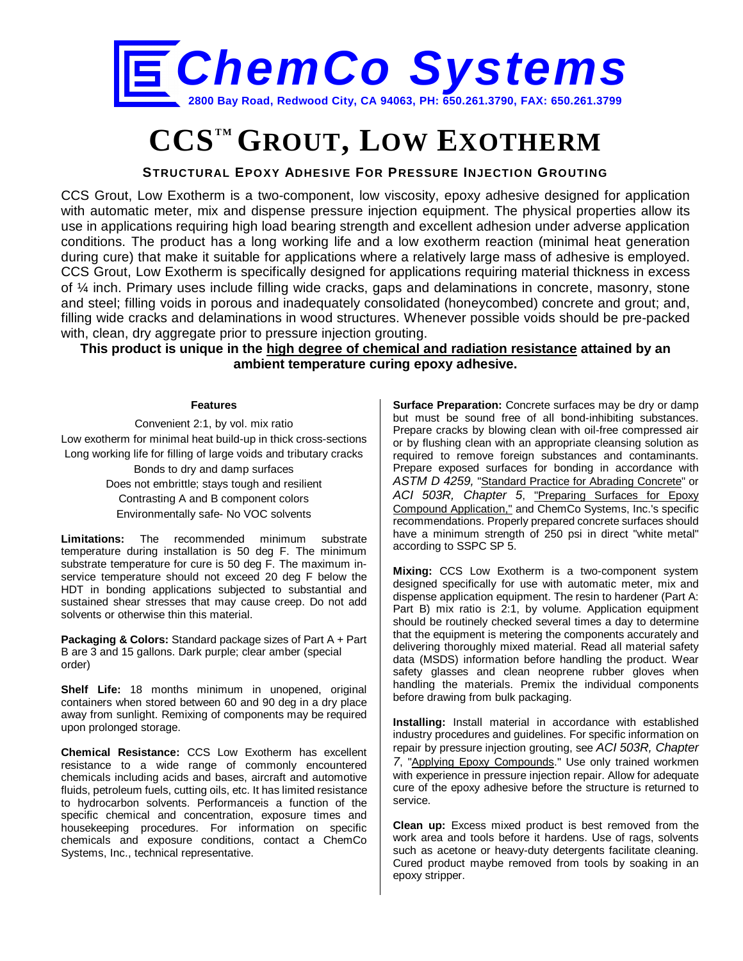

# **CCSTM GROUT, LOW EXOTHERM**

### **STRUCTURAL EPOXY ADHESIVE FOR PRESSURE INJECTION GROUTING**

CCS Grout, Low Exotherm is a two-component, low viscosity, epoxy adhesive designed for application with automatic meter, mix and dispense pressure injection equipment. The physical properties allow its use in applications requiring high load bearing strength and excellent adhesion under adverse application conditions. The product has a long working life and a low exotherm reaction (minimal heat generation during cure) that make it suitable for applications where a relatively large mass of adhesive is employed. CCS Grout, Low Exotherm is specifically designed for applications requiring material thickness in excess of ¼ inch. Primary uses include filling wide cracks, gaps and delaminations in concrete, masonry, stone and steel; filling voids in porous and inadequately consolidated (honeycombed) concrete and grout; and, filling wide cracks and delaminations in wood structures. Whenever possible voids should be pre-packed with, clean, dry aggregate prior to pressure injection grouting.

**This product is unique in the high degree of chemical and radiation resistance attained by an ambient temperature curing epoxy adhesive.**

#### **Features**

Convenient 2:1, by vol. mix ratio Low exotherm for minimal heat build-up in thick cross-sections Long working life for filling of large voids and tributary cracks Bonds to dry and damp surfaces Does not embrittle; stays tough and resilient Contrasting A and B component colors Environmentally safe- No VOC solvents

**Limitations:** The recommended minimum substrate temperature during installation is 50 deg F. The minimum substrate temperature for cure is 50 deg F. The maximum inservice temperature should not exceed 20 deg F below the HDT in bonding applications subjected to substantial and sustained shear stresses that may cause creep. Do not add solvents or otherwise thin this material.

**Packaging & Colors:** Standard package sizes of Part A + Part B are 3 and 15 gallons. Dark purple; clear amber (special order)

**Shelf Life:** 18 months minimum in unopened, original containers when stored between 60 and 90 deg in a dry place away from sunlight. Remixing of components may be required upon prolonged storage.

**Chemical Resistance:** CCS Low Exotherm has excellent resistance to a wide range of commonly encountered chemicals including acids and bases, aircraft and automotive fluids, petroleum fuels, cutting oils, etc. It has limited resistance to hydrocarbon solvents. Performanceis a function of the specific chemical and concentration, exposure times and housekeeping procedures. For information on specific chemicals and exposure conditions, contact a ChemCo Systems, Inc., technical representative.

**Surface Preparation:** Concrete surfaces may be dry or damp but must be sound free of all bond-inhibiting substances. Prepare cracks by blowing clean with oil-free compressed air or by flushing clean with an appropriate cleansing solution as required to remove foreign substances and contaminants. Prepare exposed surfaces for bonding in accordance with *ASTM D 4259,* "Standard Practice for Abrading Concrete" or *ACI 503R, Chapter 5*, "Preparing Surfaces for Epoxy Compound Application," and ChemCo Systems, Inc.'s specific recommendations. Properly prepared concrete surfaces should have a minimum strength of 250 psi in direct "white metal" according to SSPC SP 5.

**Mixing:** CCS Low Exotherm is a two-component system designed specifically for use with automatic meter, mix and dispense application equipment. The resin to hardener (Part A: Part B) mix ratio is 2:1, by volume. Application equipment should be routinely checked several times a day to determine that the equipment is metering the components accurately and delivering thoroughly mixed material. Read all material safety data (MSDS) information before handling the product. Wear safety glasses and clean neoprene rubber gloves when handling the materials. Premix the individual components before drawing from bulk packaging.

**Installing:** Install material in accordance with established industry procedures and guidelines. For specific information on repair by pressure injection grouting, see *ACI 503R, Chapter 7*, "Applying Epoxy Compounds." Use only trained workmen with experience in pressure injection repair. Allow for adequate cure of the epoxy adhesive before the structure is returned to service.

**Clean up:** Excess mixed product is best removed from the work area and tools before it hardens. Use of rags, solvents such as acetone or heavy-duty detergents facilitate cleaning. Cured product maybe removed from tools by soaking in an epoxy stripper.